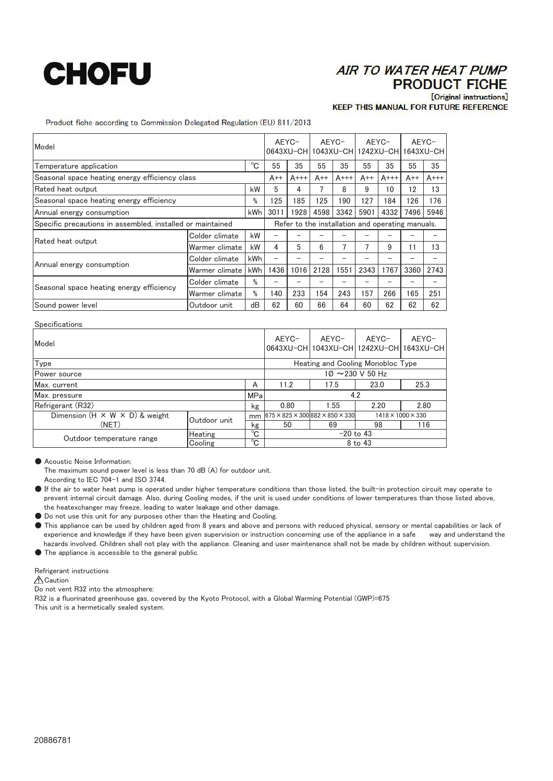## **CHOFU**

## **AIR TO WATER HEAT PUMP PRODUCT FICHE** [Original instructions]

**KEEP THIS MANUAL FOR FUTURE REFERENCE** 

Product fiche according to Commission Delegated Regulation (EU) 811/2013

| Model                                                      |                |             | AEYC-                                            |         | AFYC-<br>0643XU-CH 1043XU-CH 1242XU-CH 1643XU-CH |         | AEYC- |         | AEYC- |         |
|------------------------------------------------------------|----------------|-------------|--------------------------------------------------|---------|--------------------------------------------------|---------|-------|---------|-------|---------|
| Temperature application                                    |                | $^{\circ}C$ | 55                                               | 35      | 55                                               | 35      | 55    | 35      | 55    | 35      |
| Seasonal space heating energy efficiency class             |                |             | $A++$                                            | $A$ +++ | $A++$                                            | $A$ +++ | $A++$ | $A$ +++ | $A++$ | $A$ +++ |
| Rated heat output                                          |                | kW          | 5                                                | 4       | 7                                                | 8       | 9     | 10      | 12    | 13      |
| Seasonal space heating energy efficiency                   |                | %           | 125                                              | 185     | 125                                              | 190     | 127   | 184     | 126   | 176     |
| Annual energy consumption                                  |                | kWh         | 3011                                             | 1928    | 4598                                             | 3342    | 5901  | 4332    | 7496  | 5946    |
| Specific precautions in assembled, installed or maintained |                |             | Refer to the installation and operating manuals. |         |                                                  |         |       |         |       |         |
| Rated heat output                                          | Colder climate | kW          |                                                  |         |                                                  |         |       |         |       |         |
|                                                            | Warmer climate | kW          | 4                                                | 5       | 6                                                | 7       | 7     | 9       | 11    | 13      |
| Annual energy consumption                                  | Colder climate | kWh         |                                                  |         |                                                  |         |       |         |       |         |
|                                                            | Warmer climate | kWh         | 1436                                             | 1016    | 2128                                             | 1551    | 2343  | 1767    | 3360  | 2743    |
| Seasonal space heating energy efficiency                   | Colder climate | %           |                                                  |         |                                                  |         |       |         |       |         |
|                                                            | Warmer climate | %           | 140                                              | 233     | 154                                              | 243     | 157   | 266     | 165   | 251     |
| Sound power level                                          | Outdoor unit   | dB          | 62                                               | 60      | 66                                               | 64      | 60    | 62      | 62    | 62      |

| <b>Specifications</b>                      |                                       |    |                                                      |       |                               |                                                  |  |  |  |  |
|--------------------------------------------|---------------------------------------|----|------------------------------------------------------|-------|-------------------------------|--------------------------------------------------|--|--|--|--|
| Model                                      |                                       |    | AEYC-                                                | AEYC- | AEYC-                         | AEYC-<br>0643XU-CH 1043XU-CH 1242XU-CH 1643XU-CH |  |  |  |  |
| Type                                       |                                       |    | Heating and Cooling Monobloc Type                    |       |                               |                                                  |  |  |  |  |
| <b>Power</b> source                        | $10 \sim 230 \text{ V} 50 \text{ Hz}$ |    |                                                      |       |                               |                                                  |  |  |  |  |
| Max. current                               |                                       | A  | 11.2                                                 | 17.5  | 23.0                          | 25.3                                             |  |  |  |  |
| Max. pressure<br><b>MPa</b>                |                                       |    | 4.2                                                  |       |                               |                                                  |  |  |  |  |
| Refrigerant (R32)                          |                                       | kg | 0.80                                                 | 1.55  | 2.20                          | 2.80                                             |  |  |  |  |
| Dimension $(H \times W \times D)$ & weight | Outdoor unit                          | mm | $675 \times 825 \times 300882 \times 850 \times 330$ |       | $1418 \times 1000 \times 330$ |                                                  |  |  |  |  |
| (NET)                                      |                                       | kg | 50                                                   | 69    | 98                            | 116                                              |  |  |  |  |
| Outdoor temperature range                  | Heating                               | °C |                                                      |       |                               |                                                  |  |  |  |  |
|                                            | Cooling                               | °C |                                                      |       |                               |                                                  |  |  |  |  |

● Acoustic Noise Information:

The maximum sound power level is less than 70 dB (A) for outdoor unit.

According to IEC 704-1 and ISO 3744.

- If the air to water heat pump is operated under higher temperature conditions than those listed, the built-in protection circuit may operate to prevent internal circuit damage. Also, during Cooling modes, if the unit is used under conditions of lower temperatures than those listed above, the heatexchanger may freeze, leading to water leakage and other damage.
- Do not use this unit for any purposes other than the Heating and Cooling.
- This appliance can be used by children aged from 8 years and above and persons with reduced physical, sensory or mental capabilities or lack of experience and knowledge if they have been given supervision or instruction concerning use of the appliance in a safe way and understand the hazards involved. Children shall not play with the appliance. Cleaning and user maintenance shall not be made by children without supervision.
- The appliance is accessible to the general public.

Refrigerant instructions

**A** Caution

Do not vent R32 into the atmosphere:

R32 is a fluorinated greenhouse gas, covered by the Kyoto Protocol, with a Global Warming Potential (GWP)=675 This unit is a hermetically sealed system.